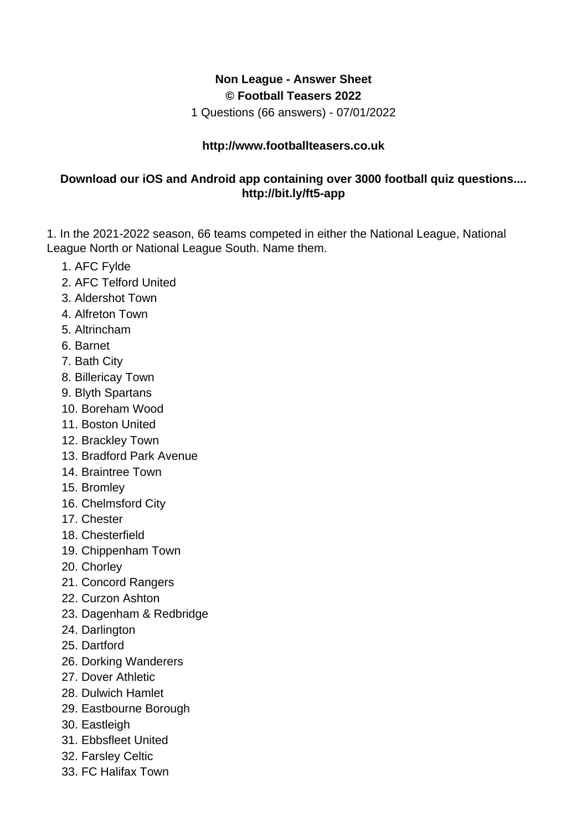## **Non League - Answer Sheet © Football Teasers 2022**

1 Questions (66 answers) - 07/01/2022

## **http://www.footballteasers.co.uk**

## **Download our iOS and Android app containing over 3000 football quiz questions.... http://bit.ly/ft5-app**

1. In the 2021-2022 season, 66 teams competed in either the National League, National League North or National League South. Name them.

- 1. AFC Fylde
- 2. AFC Telford United
- 3. Aldershot Town
- 4. Alfreton Town
- 5. Altrincham
- 6. Barnet
- 7. Bath City
- 8. Billericay Town
- 9. Blyth Spartans
- 10. Boreham Wood
- 11. Boston United
- 12. Brackley Town
- 13. Bradford Park Avenue
- 14. Braintree Town
- 15. Bromley
- 16. Chelmsford City
- 17. Chester
- 18. Chesterfield
- 19. Chippenham Town
- 20. Chorley
- 21. Concord Rangers
- 22. Curzon Ashton
- 23. Dagenham & Redbridge
- 24. Darlington
- 25. Dartford
- 26. Dorking Wanderers
- 27. Dover Athletic
- 28. Dulwich Hamlet
- 29. Eastbourne Borough
- 30. Eastleigh
- 31. Ebbsfleet United
- 32. Farsley Celtic
- 33. FC Halifax Town